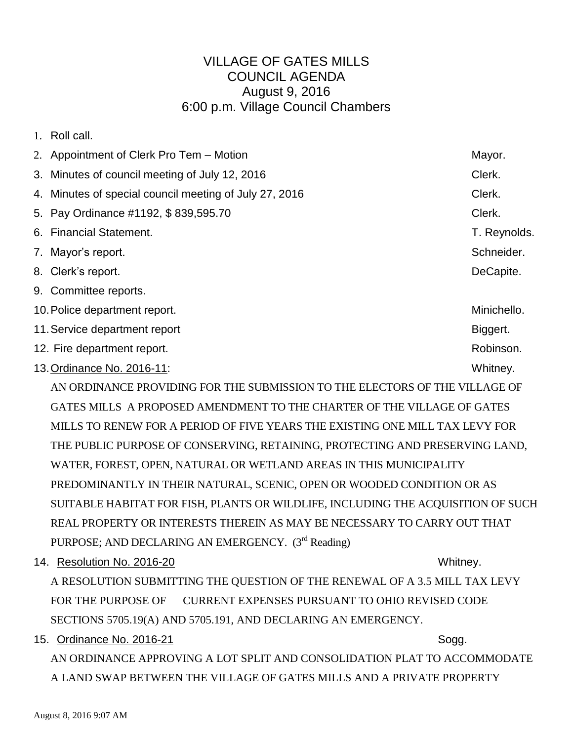## VILLAGE OF GATES MILLS COUNCIL AGENDA August 9, 2016 6:00 p.m. Village Council Chambers

| $1_{-}$ | Roll call.                                                                  |              |  |
|---------|-----------------------------------------------------------------------------|--------------|--|
|         | 2. Appointment of Clerk Pro Tem – Motion                                    | Mayor.       |  |
|         | 3. Minutes of council meeting of July 12, 2016                              | Clerk.       |  |
|         | 4. Minutes of special council meeting of July 27, 2016                      | Clerk.       |  |
|         | 5. Pay Ordinance #1192, \$839,595.70                                        | Clerk.       |  |
| 6.      | <b>Financial Statement.</b>                                                 | T. Reynolds. |  |
|         | 7. Mayor's report.                                                          | Schneider.   |  |
|         | 8. Clerk's report.                                                          | DeCapite.    |  |
|         | 9. Committee reports.                                                       |              |  |
|         | 10. Police department report.                                               | Minichello.  |  |
|         | 11. Service department report                                               | Biggert.     |  |
|         | 12. Fire department report.                                                 | Robinson.    |  |
|         | 13. Ordinance No. 2016-11:                                                  | Whitney.     |  |
|         | AN ORDINANCE PROVIDING FOR THE SUBMISSION TO THE ELECTORS OF THE VILLAGE OF |              |  |

GATES MILLS A PROPOSED AMENDMENT TO THE CHARTER OF THE VILLAGE OF GATES MILLS TO RENEW FOR A PERIOD OF FIVE YEARS THE EXISTING ONE MILL TAX LEVY FOR THE PUBLIC PURPOSE OF CONSERVING, RETAINING, PROTECTING AND PRESERVING LAND, WATER, FOREST, OPEN, NATURAL OR WETLAND AREAS IN THIS MUNICIPALITY PREDOMINANTLY IN THEIR NATURAL, SCENIC, OPEN OR WOODED CONDITION OR AS SUITABLE HABITAT FOR FISH, PLANTS OR WILDLIFE, INCLUDING THE ACQUISITION OF SUCH REAL PROPERTY OR INTERESTS THEREIN AS MAY BE NECESSARY TO CARRY OUT THAT PURPOSE; AND DECLARING AN EMERGENCY. (3<sup>rd</sup> Reading)

14. Resolution No. 2016-20 Whitney.

A RESOLUTION SUBMITTING THE QUESTION OF THE RENEWAL OF A 3.5 MILL TAX LEVY FOR THE PURPOSE OF CURRENT EXPENSES PURSUANT TO OHIO REVISED CODE SECTIONS 5705.19(A) AND 5705.191, AND DECLARING AN EMERGENCY.

15. Ordinance No. 2016-21 Sogg. Sogg.

AN ORDINANCE APPROVING A LOT SPLIT AND CONSOLIDATION PLAT TO ACCOMMODATE A LAND SWAP BETWEEN THE VILLAGE OF GATES MILLS AND A PRIVATE PROPERTY